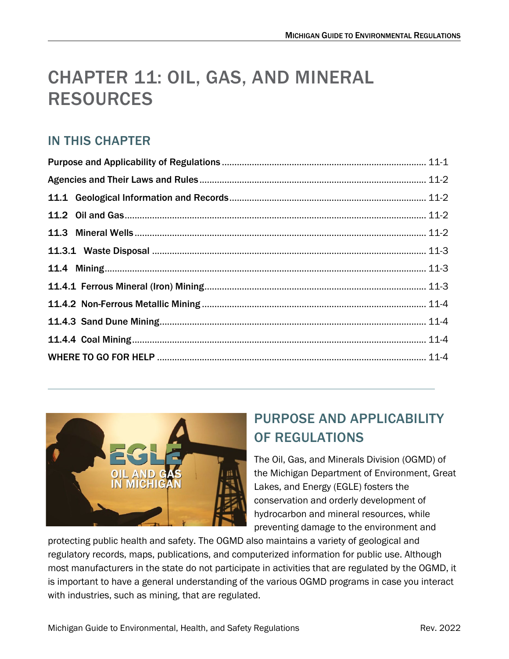# CHAPTER 11: OIL, GAS, AND MINERAL RESOURCES

## IN THIS CHAPTER



# <span id="page-0-0"></span>PURPOSE AND APPLICABILITY OF REGULATIONS

The Oil, Gas, and Minerals Division (OGMD) of the Michigan Department of Environment, Great Lakes, and Energy (EGLE) fosters the conservation and orderly development of hydrocarbon and mineral resources, while preventing damage to the environment and

protecting public health and safety. The OGMD also maintains a variety of geological and regulatory records, maps, publications, and computerized information for public use. Although most manufacturers in the state do not participate in activities that are regulated by the OGMD, it is important to have a general understanding of the various OGMD programs in case you interact with industries, such as mining, that are regulated.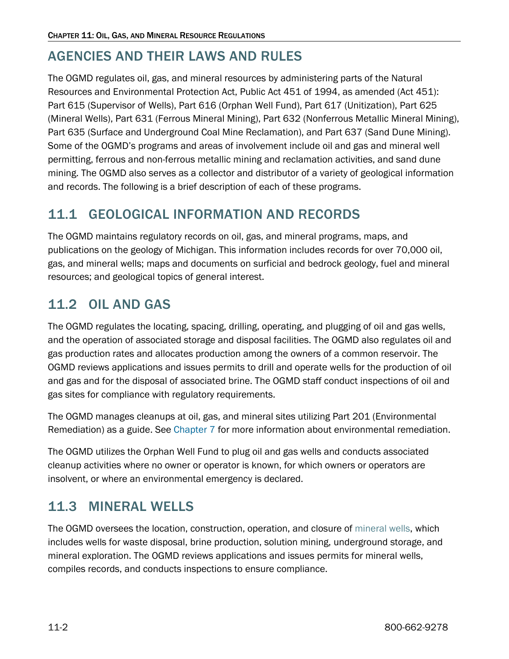## <span id="page-1-0"></span>AGENCIES AND THEIR LAWS AND RULES

The OGMD regulates oil, gas, and mineral resources by administering parts of the Natural Resources and Environmental Protection Act, Public Act 451 of 1994, as amended (Act 451): Part 615 (Supervisor of Wells), Part 616 (Orphan Well Fund), Part 617 (Unitization), Part 625 (Mineral Wells), Part 631 (Ferrous Mineral Mining), Part 632 (Nonferrous Metallic Mineral Mining), Part 635 (Surface and Underground Coal Mine Reclamation), and Part 637 (Sand Dune Mining). Some of the OGMD's programs and areas of involvement include oil and gas and mineral well permitting, ferrous and non-ferrous metallic mining and reclamation activities, and sand dune mining. The OGMD also serves as a collector and distributor of a variety of geological information and records. The following is a brief description of each of these programs.

## <span id="page-1-1"></span>11.1 GEOLOGICAL INFORMATION AND RECORDS

The OGMD maintains regulatory records on oil, gas, and mineral programs, maps, and publications on the geology of Michigan. This information includes records for over 70,000 oil, gas, and mineral wells; maps and documents on surficial and bedrock geology, fuel and mineral resources; and geological topics of general interest.

## <span id="page-1-2"></span>11.2 OIL AND GAS

The OGMD regulates the locating, spacing, drilling, operating, and plugging of oil and gas wells, and the operation of associated storage and disposal facilities. The OGMD also regulates oil and gas production rates and allocates production among the owners of a common reservoir. The OGMD reviews applications and issues permits to drill and operate wells for the production of oil and gas and for the disposal of associated brine. The OGMD staff conduct inspections of oil and gas sites for compliance with regulatory requirements.

The OGMD manages cleanups at oil, gas, and mineral sites utilizing Part 201 (Environmental Remediation) as a guide. Se[e](https://www.michigan.gov/-/media/Project/Websites/egle/Documents/Regulatory-Assistance/Guidebooks/MI-Guide-to-Environmental-Regulations/MI-Guide-Environmental-Regulations-Ch7-Contaminated-Sites.pdf) [Chapter 7](https://www.michigan.gov/-/media/Project/Websites/egle/Documents/Regulatory-Assistance/Guidebooks/MI-Guide-to-Environmental-Regulations/MI-Guide-Environmental-Regulations-Ch7-Contaminated-Sites.pdf) for more information about environmental remediation.

The OGMD utilizes the Orphan Well Fund to plug oil and gas wells and conducts associated cleanup activities where no owner or operator is known, for which owners or operators are insolvent, or where an environmental emergency is declared.

## <span id="page-1-3"></span>11.3 MINERAL WELLS

The OGMD oversees the location, construction, operation, and closure o[f mineral wells,](https://www.michigan.gov/egle/about/organization/Oil-Gas-and-Minerals/mineral-wells) which includes wells for waste disposal, brine production, solution mining, underground storage, and mineral exploration. The OGMD reviews applications and issues permits for mineral wells, compiles records, and conducts inspections to ensure compliance.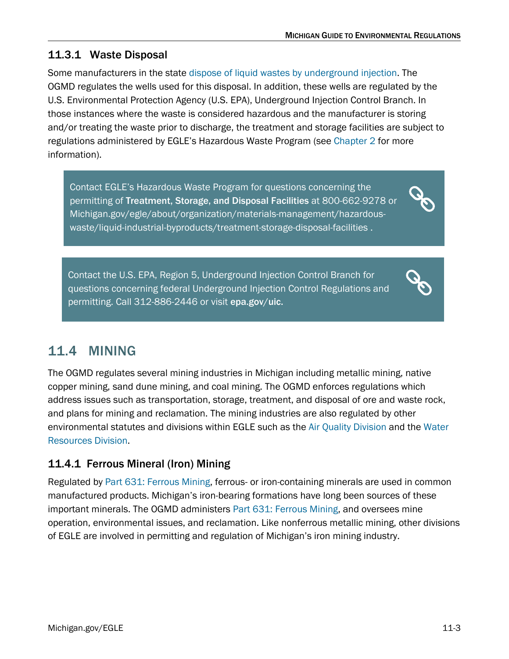#### <span id="page-2-0"></span>11.3.1 Waste Disposal

Some manufacturers in the stat[e dispose of liquid wastes by underground injection.](https://www.michigan.gov/egle/about/organization/Oil-Gas-and-Minerals/mineral-wells/Application-Instructions-for-Disposal-Wells) The OGMD regulates the wells used for this disposal. In addition, these wells are regulated by the U.S. Environmental Protection Agency (U.S. EPA), Underground Injection Control Branch. In those instances where the waste is considered hazardous and the manufacturer is storing and/or treating the waste prior to discharge, the treatment and storage facilities are subject to regulations administered by EGLE's Hazardous Waste Program (see [Chapter 2](https://www.michigan.gov/documents/egle/egle-tou-MGER-Chapter2-Waste_703085_7.pdf) for more information).

Contact EGLE's Hazardous Waste Program for questions concerning the permitting of [Treatment, Storage, and Disposal Facilities](https://www.michigan.gov/egle/0,9429,7-135-3312_4118_4240-8987--,00.html) at 800-662-9278 or [Michigan.gov/egle/about/organization/materials-management/hazardous](https://www.michigan.gov/egle/about/organization/materials-management/hazardous-waste/liquid-industrial-byproducts/treatment-storage-disposal-facilities)[waste/liquid-industrial-byproducts/treatment-storage-disposal-facilities](https://www.michigan.gov/egle/about/organization/materials-management/hazardous-waste/liquid-industrial-byproducts/treatment-storage-disposal-facilities) .

Contact the U.S. EPA, Region 5, Underground Injection Control Branch for questions concerning federal Underground Injection Control Regulations and permitting. Call 312-886-2446 or visit [epa.gov/uic.](http://www.epa.gov/uic)

## <span id="page-2-1"></span>11.4 MINING

The OGMD regulates several mining industries in Michigan including metallic mining, native copper mining, sand dune mining, and coal mining. The OGMD enforces regulations which address issues such as transportation, storage, treatment, and disposal of ore and waste rock, and plans for mining and reclamation. The mining industries are also regulated by other environmental statutes and divisions within EGLE such as the [Air Quality Division](https://www.michigan.gov/egle/about/organization/air-quality) and the [Water](https://www.michigan.gov/egle/about/organization/water-resources)  [Resources Division.](https://www.michigan.gov/egle/about/organization/water-resources)

#### <span id="page-2-2"></span>11.4.1 Ferrous Mineral (Iron) Mining

Regulated by [Part 631: Ferrous Mining,](http://www.legislature.mi.gov/(S(wyyjmm554iy1bd45qouhf5a0))/mileg.aspx?page=getObject&objectName=mcl-451-1994-III-3-4-631) ferrous- or iron-containing minerals are used in common manufactured products. Michigan's iron-bearing formations have long been sources of these important minerals. The OGMD administers [Part 631: Ferrous Mining,](http://www.legislature.mi.gov/(S(wyyjmm554iy1bd45qouhf5a0))/mileg.aspx?page=getObject&objectName=mcl-451-1994-III-3-4-631) and oversees mine operation, environmental issues, and reclamation. Like nonferrous metallic mining, other divisions of EGLE are involved in permitting and regulation of Michigan's iron mining industry.